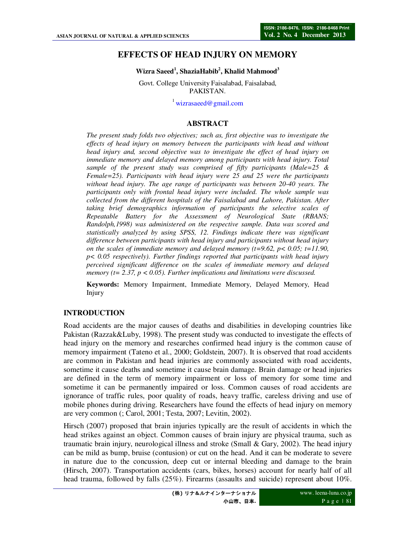# **EFFECTS OF HEAD INJURY ON MEMORY**

#### **Wizra Saeed<sup>1</sup> , ShaziaHabib<sup>2</sup> , Khalid Mahmood<sup>3</sup>**

Govt. College University Faisalabad, Faisalabad, PAKISTAN.

 $\frac{1}{2}$ wizrasaeed@gmail.com

#### **ABSTRACT**

*The present study folds two objectives; such as, first objective was to investigate the effects of head injury on memory between the participants with head and without head injury and, second objective was to investigate the effect of head injury on immediate memory and delayed memory among participants with head injury. Total sample of the present study was comprised of fifty participants (Male=25 & Female=25). Participants with head injury were 25 and 25 were the participants without head injury. The age range of participants was between 20-40 years. The participants only with frontal head injury were included. The whole sample was collected from the different hospitals of the Faisalabad and Lahore, Pakistan. After taking brief demographics information of participants the selective scales of Repeatable Battery for the Assessment of Neurological State (RBANS; Randolph,1998) was administered on the respective sample. Data was scored and statistically analyzed by using SPSS, 12. Findings indicate there was significant difference between participants with head injury and participants without head injury on the scales of immediate memory and delayed memory (t=9.62, p < 0.05; t=11.90, p< 0.05 respectively). Further findings reported that participants with head injury perceived significant difference on the scales of immediate memory and delayed memory (t= 2.37, p < 0.05). Further implications and limitations were discussed.* 

**Keywords:** Memory Impairment, Immediate Memory, Delayed Memory, Head Injury

#### **INTRODUCTION**

Road accidents are the major causes of deaths and disabilities in developing countries like Pakistan (Razzak&Luby, 1998). The present study was conducted to investigate the effects of head injury on the memory and researches confirmed head injury is the common cause of memory impairment (Tateno et al., 2000; Goldstein, 2007). It is observed that road accidents are common in Pakistan and head injuries are commonly associated with road accidents, sometime it cause deaths and sometime it cause brain damage. Brain damage or head injuries are defined in the term of memory impairment or loss of memory for some time and sometime it can be permanently impaired or loss. Common causes of road accidents are ignorance of traffic rules, poor quality of roads, heavy traffic, careless driving and use of mobile phones during driving. Researchers have found the effects of head injury on memory are very common (; Carol, 2001; Testa, 2007; Levitin, 2002).

Hirsch (2007) proposed that brain injuries typically are the result of accidents in which the head strikes against an object. Common causes of brain injury are physical trauma, such as traumatic brain injury, neurological illness and stroke (Small & Gary, 2002). The head injury can be mild as bump, bruise (contusion) or cut on the head. And it can be moderate to severe in nature due to the concussion, deep cut or internal bleeding and damage to the brain (Hirsch, 2007). Transportation accidents (cars, bikes, horses) account for nearly half of all head trauma, followed by falls (25%). Firearms (assaults and suicide) represent about 10%.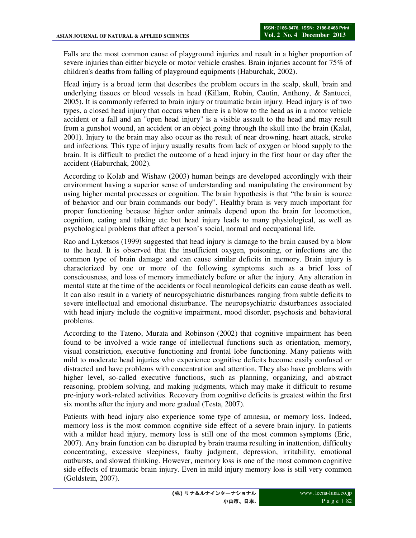Falls are the most common cause of playground injuries and result in a higher proportion of severe injuries than either bicycle or motor vehicle crashes. Brain injuries account for 75% of children's deaths from falling of playground equipments (Haburchak, 2002).

Head injury is a broad term that describes the problem occurs in the scalp, skull, brain and underlying tissues or blood vessels in head (Killam, Robin, Cautin, Anthony, & Santucci, 2005). It is commonly referred to brain injury or traumatic brain injury. Head injury is of two types, a closed head injury that occurs when there is a blow to the head as in a motor vehicle accident or a fall and an "open head injury" is a visible assault to the head and may result from a gunshot wound, an accident or an object going through the skull into the brain (Kalat, 2001). Injury to the brain may also occur as the result of near drowning, heart attack, stroke and infections. This type of injury usually results from lack of oxygen or blood supply to the brain. It is difficult to predict the outcome of a head injury in the first hour or day after the accident (Haburchak, 2002).

According to Kolab and Wishaw (2003) human beings are developed accordingly with their environment having a superior sense of understanding and manipulating the environment by using higher mental processes or cognition. The brain hypothesis is that "the brain is source of behavior and our brain commands our body". Healthy brain is very much important for proper functioning because higher order animals depend upon the brain for locomotion, cognition, eating and talking etc but head injury leads to many physiological, as well as psychological problems that affect a person's social, normal and occupational life.

Rao and Lyketsos (1999) suggested that head injury is damage to the brain caused by a blow to the head. It is observed that the insufficient oxygen, poisoning, or infections are the common type of brain damage and can cause similar deficits in memory. Brain injury is characterized by one or more of the following symptoms such as a brief loss of consciousness, and loss of memory immediately before or after the injury. Any alteration in mental state at the time of the accidents or focal neurological deficits can cause death as well. It can also result in a variety of neuropsychiatric disturbances ranging from subtle deficits to severe intellectual and emotional disturbance. The neuropsychiatric disturbances associated with head injury include the cognitive impairment, mood disorder, psychosis and behavioral problems.

According to the Tateno, Murata and Robinson (2002) that cognitive impairment has been found to be involved a wide range of intellectual functions such as orientation, memory, visual constriction, executive functioning and frontal lobe functioning. Many patients with mild to moderate head injuries who experience cognitive deficits become easily confused or distracted and have problems with concentration and attention. They also have problems with higher level, so-called executive functions, such as planning, organizing, and abstract reasoning, problem solving, and making judgments, which may make it difficult to resume pre-injury work-related activities. Recovery from cognitive deficits is greatest within the first six months after the injury and more gradual (Testa, 2007).

Patients with head injury also experience some type of amnesia, or memory loss. Indeed, memory loss is the most common cognitive side effect of a severe brain injury. In patients with a milder head injury, memory loss is still one of the most common symptoms (Eric, 2007). Any brain function can be disrupted by brain trauma resulting in inattention, difficulty concentrating, excessive sleepiness, faulty judgment, depression, irritability, emotional outbursts, and slowed thinking. However, memory loss is one of the most common cognitive side effects of traumatic brain injury. Even in mild injury memory loss is still very common (Goldstein, 2007).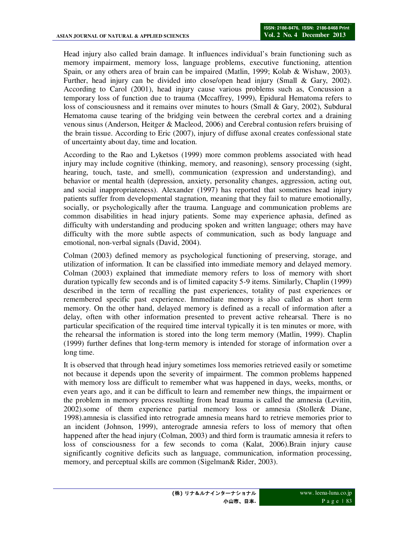Head injury also called brain damage. It influences individual's brain functioning such as memory impairment, memory loss, language problems, executive functioning, attention Spain, or any others area of brain can be impaired (Matlin, 1999; Kolab & Wishaw, 2003). Further, head injury can be divided into close/open head injury (Small & Gary, 2002). According to Carol (2001), head injury cause various problems such as, Concussion a temporary loss of function due to trauma (Mccaffrey, 1999), Epidural Hematoma refers to loss of consciousness and it remains over minutes to hours (Small & Gary, 2002), Subdural Hematoma cause tearing of the bridging vein between the cerebral cortex and a draining venous sinus (Anderson, Heitger & Macleod, 2006) and Cerebral contusion refers bruising of the brain tissue. According to Eric (2007), injury of diffuse axonal creates confessional state of uncertainty about day, time and location.

According to the Rao and Lyketsos (1999) more common problems associated with head injury may include cognitive (thinking, memory, and reasoning), sensory processing (sight, hearing, touch, taste, and smell), communication (expression and understanding), and behavior or mental health (depression, anxiety, personality changes, aggression, acting out, and social inappropriateness). Alexander (1997) has reported that sometimes head injury patients suffer from developmental stagnation, meaning that they fail to mature emotionally, socially, or psychologically after the trauma. Language and communication problems are common disabilities in head injury patients. Some may experience aphasia, defined as difficulty with understanding and producing spoken and written language; others may have difficulty with the more subtle aspects of communication, such as body language and emotional, non-verbal signals (David, 2004).

Colman (2003) defined memory as psychological functioning of preserving, storage, and utilization of information. It can be classified into immediate memory and delayed memory. Colman (2003) explained that immediate memory refers to loss of memory with short duration typically few seconds and is of limited capacity 5-9 items. Similarly, Chaplin (1999) described in the term of recalling the past experiences, totality of past experiences or remembered specific past experience. Immediate memory is also called as short term memory. On the other hand, delayed memory is defined as a recall of information after a delay, often with other information presented to prevent active rehearsal. There is no particular specification of the required time interval typically it is ten minutes or more, with the rehearsal the information is stored into the long term memory (Matlin, 1999). Chaplin (1999) further defines that long-term memory is intended for storage of information over a long time.

It is observed that through head injury sometimes loss memories retrieved easily or sometime not because it depends upon the severity of impairment. The common problems happened with memory loss are difficult to remember what was happened in days, weeks, months, or even years ago, and it can be difficult to learn and remember new things, the impairment or the problem in memory process resulting from head trauma is called the amnesia (Levitin, 2002).some of them experience partial memory loss or amnesia (Stoller& Diane, 1998).amnesia is classified into retrograde amnesia means hard to retrieve memories prior to an incident (Johnson, 1999), anterograde amnesia refers to loss of memory that often happened after the head injury (Colman, 2003) and third form is traumatic amnesia it refers to loss of consciousness for a few seconds to coma (Kalat, 2006).Brain injury cause significantly cognitive deficits such as language, communication, information processing, memory, and perceptual skills are common (Sigelman& Rider, 2003).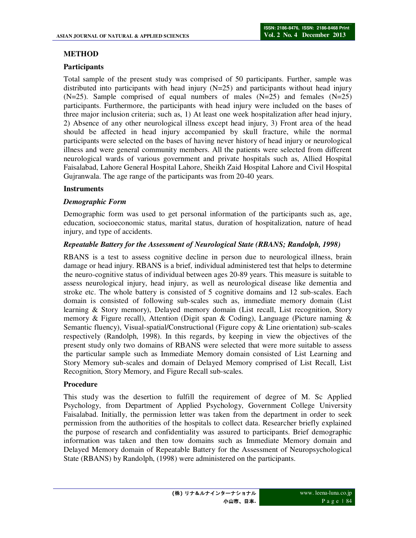### **METHOD**

#### **Participants**

Total sample of the present study was comprised of 50 participants. Further, sample was distributed into participants with head injury  $(N=25)$  and participants without head injury  $(N=25)$ . Sample comprised of equal numbers of males  $(N=25)$  and females  $(N=25)$ participants. Furthermore, the participants with head injury were included on the bases of three major inclusion criteria; such as, 1) At least one week hospitalization after head injury, 2) Absence of any other neurological illness except head injury, 3) Front area of the head should be affected in head injury accompanied by skull fracture, while the normal participants were selected on the bases of having never history of head injury or neurological illness and were general community members. All the patients were selected from different neurological wards of various government and private hospitals such as, Allied Hospital Faisalabad, Lahore General Hospital Lahore, Sheikh Zaid Hospital Lahore and Civil Hospital Gujranwala. The age range of the participants was from 20-40 years.

#### **Instruments**

#### *Demographic Form*

Demographic form was used to get personal information of the participants such as, age, education, socioeconomic status, marital status, duration of hospitalization, nature of head injury, and type of accidents.

#### *Repeatable Battery for the Assessment of Neurological State (RBANS; Randolph, 1998)*

RBANS is a test to assess cognitive decline in person due to neurological illness, brain damage or head injury. RBANS is a brief, individual administered test that helps to determine the neuro-cognitive status of individual between ages 20-89 years. This measure is suitable to assess neurological injury, head injury, as well as neurological disease like dementia and stroke etc. The whole battery is consisted of 5 cognitive domains and 12 sub-scales. Each domain is consisted of following sub-scales such as, immediate memory domain (List learning & Story memory), Delayed memory domain (List recall, List recognition, Story memory & Figure recall), Attention (Digit span & Coding), Language (Picture naming  $\&$ Semantic fluency), Visual-spatial/Constructional (Figure copy & Line orientation) sub-scales respectively (Randolph, 1998). In this regards, by keeping in view the objectives of the present study only two domains of RBANS were selected that were more suitable to assess the particular sample such as Immediate Memory domain consisted of List Learning and Story Memory sub-scales and domain of Delayed Memory comprised of List Recall, List Recognition, Story Memory, and Figure Recall sub-scales.

#### **Procedure**

This study was the desertion to fulfill the requirement of degree of M. Sc Applied Psychology, from Department of Applied Psychology, Government College University Faisalabad. Initially, the permission letter was taken from the department in order to seek permission from the authorities of the hospitals to collect data. Researcher briefly explained the purpose of research and confidentiality was assured to participants. Brief demographic information was taken and then tow domains such as Immediate Memory domain and Delayed Memory domain of Repeatable Battery for the Assessment of Neuropsychological State (RBANS) by Randolph, (1998) were administered on the participants.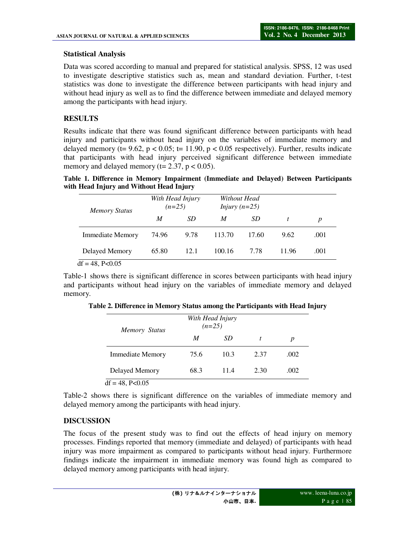### **Statistical Analysis**

Data was scored according to manual and prepared for statistical analysis. SPSS, 12 was used to investigate descriptive statistics such as, mean and standard deviation. Further, t-test statistics was done to investigate the difference between participants with head injury and without head injury as well as to find the difference between immediate and delayed memory among the participants with head injury.

## **RESULTS**

Results indicate that there was found significant difference between participants with head injury and participants without head injury on the variables of immediate memory and delayed memory ( $t= 9.62$ ,  $p < 0.05$ ;  $t= 11.90$ ,  $p < 0.05$  respectively). Further, results indicate that participants with head injury perceived significant difference between immediate memory and delayed memory ( $t= 2.37$ ,  $p < 0.05$ ).

**Table 1. Difference in Memory Impairment (Immediate and Delayed) Between Participants with Head Injury and Without Head Injury** 

| <b>Memory Status</b>    | With Head Injury<br>$(n=25)$ |      | Without Head<br><i>Injury</i> $(n=25)$ |       |       |      |
|-------------------------|------------------------------|------|----------------------------------------|-------|-------|------|
|                         | M                            | SD   | M                                      | SD.   |       | p    |
| <b>Immediate Memory</b> | 74.96                        | 9.78 | 113.70                                 | 17.60 | 9.62  | .001 |
| Delayed Memory          | 65.80                        | 12.1 | 100.16                                 | 7.78  | 11.96 | .001 |
| $df = 48$ , P<0.05      |                              |      |                                        |       |       |      |

Table-1 shows there is significant difference in scores between participants with head injury and participants without head injury on the variables of immediate memory and delayed memory.

| <b>Memory Status</b>    |      | With Head Injury<br>$(n=25)$ |      |      |
|-------------------------|------|------------------------------|------|------|
|                         | M    | SD                           | t    | p    |
| <b>Immediate Memory</b> | 75.6 | 10.3                         | 2.37 | .002 |
| Delayed Memory          | 68.3 | 11.4                         | 2.30 | .002 |
| $df = 48$ , P<0.05      |      |                              |      |      |

**Table 2. Difference in Memory Status among the Participants with Head Injury** 

Table-2 shows there is significant difference on the variables of immediate memory and delayed memory among the participants with head injury.

### **DISCUSSION**

The focus of the present study was to find out the effects of head injury on memory processes. Findings reported that memory (immediate and delayed) of participants with head injury was more impairment as compared to participants without head injury. Furthermore findings indicate the impairment in immediate memory was found high as compared to delayed memory among participants with head injury.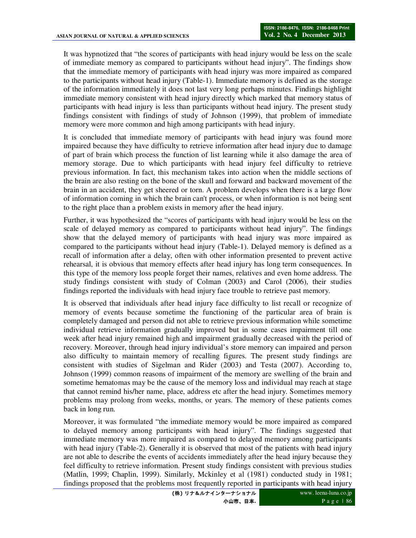It was hypnotized that "the scores of participants with head injury would be less on the scale of immediate memory as compared to participants without head injury". The findings show that the immediate memory of participants with head injury was more impaired as compared to the participants without head injury (Table-1). Immediate memory is defined as the storage of the information immediately it does not last very long perhaps minutes. Findings highlight immediate memory consistent with head injury directly which marked that memory status of participants with head injury is less than participants without head injury. The present study findings consistent with findings of study of Johnson (1999), that problem of immediate memory were more common and high among participants with head injury.

It is concluded that immediate memory of participants with head injury was found more impaired because they have difficulty to retrieve information after head injury due to damage of part of brain which process the function of list learning while it also damage the area of memory storage. Due to which participants with head injury feel difficulty to retrieve previous information. In fact, this mechanism takes into action when the middle sections of the brain are also resting on the bone of the skull and forward and backward movement of the brain in an accident, they get sheered or torn. A problem develops when there is a large flow of information coming in which the brain can't process, or when information is not being sent to the right place than a problem exists in memory after the head injury.

Further, it was hypothesized the "scores of participants with head injury would be less on the scale of delayed memory as compared to participants without head injury". The findings show that the delayed memory of participants with head injury was more impaired as compared to the participants without head injury (Table-1). Delayed memory is defined as a recall of information after a delay, often with other information presented to prevent active rehearsal, it is obvious that memory effects after head injury has long term consequences. In this type of the memory loss people forget their names, relatives and even home address. The study findings consistent with study of Colman (2003) and Carol (2006), their studies findings reported the individuals with head injury face trouble to retrieve past memory.

It is observed that individuals after head injury face difficulty to list recall or recognize of memory of events because sometime the functioning of the particular area of brain is completely damaged and person did not able to retrieve previous information while sometime individual retrieve information gradually improved but in some cases impairment till one week after head injury remained high and impairment gradually decreased with the period of recovery. Moreover, through head injury individual's store memory can impaired and person also difficulty to maintain memory of recalling figures. The present study findings are consistent with studies of Sigelman and Rider (2003) and Testa (2007). According to, Johnson (1999) common reasons of impairment of the memory are swelling of the brain and sometime hematomas may be the cause of the memory loss and individual may reach at stage that cannot remind his/her name, place, address etc after the head injury. Sometimes memory problems may prolong from weeks, months, or years. The memory of these patients comes back in long run.

Moreover, it was formulated "the immediate memory would be more impaired as compared to delayed memory among participants with head injury". The findings suggested that immediate memory was more impaired as compared to delayed memory among participants with head injury (Table-2). Generally it is observed that most of the patients with head injury are not able to describe the events of accidents immediately after the head injury because they feel difficulty to retrieve information. Present study findings consistent with previous studies (Matlin, 1999; Chaplin, 1999). Similarly, Mckinley et al (1981) conducted study in 1981; findings proposed that the problems most frequently reported in participants with head injury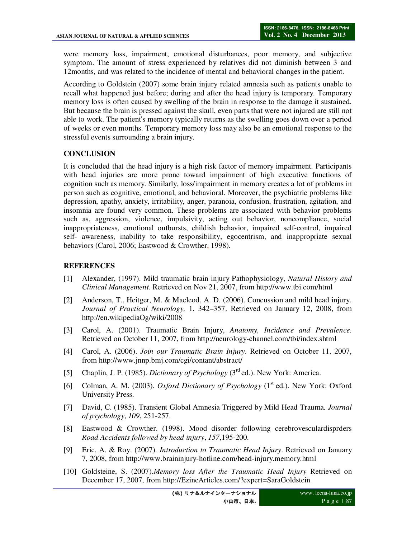were memory loss, impairment, emotional disturbances, poor memory, and subjective symptom. The amount of stress experienced by relatives did not diminish between 3 and 12months, and was related to the incidence of mental and behavioral changes in the patient.

According to Goldstein (2007) some brain injury related amnesia such as patients unable to recall what happened just before; during and after the head injury is temporary. Temporary memory loss is often caused by swelling of the brain in response to the damage it sustained. But because the brain is pressed against the skull, even parts that were not injured are still not able to work. The patient's memory typically returns as the swelling goes down over a period of weeks or even months. Temporary memory loss may also be an emotional response to the stressful events surrounding a brain injury.

#### **CONCLUSION**

It is concluded that the head injury is a high risk factor of memory impairment. Participants with head injuries are more prone toward impairment of high executive functions of cognition such as memory. Similarly, loss/impairment in memory creates a lot of problems in person such as cognitive, emotional, and behavioral. Moreover, the psychiatric problems like depression, apathy, anxiety, irritability, anger, paranoia, confusion, frustration, agitation, and insomnia are found very common. These problems are associated with behavior problems such as, aggression, violence, impulsivity, acting out behavior, noncompliance, social inappropriateness, emotional outbursts, childish behavior, impaired self-control, impaired self- awareness, inability to take responsibility, egocentrism, and inappropriate sexual behaviors (Carol, 2006; Eastwood & Crowther, 1998).

#### **REFERENCES**

- [1] Alexander, (1997). Mild traumatic brain injury Pathophysiology, *Natural History and Clinical Management.* Retrieved on Nov 21, 2007, from http://www.tbi.com/html
- [2] Anderson, T., Heitger, M. & Macleod, A. D. (2006). Concussion and mild head injury. *Journal of Practical Neurology,* 1, 342–357. Retrieved on January 12, 2008, from http://en.wikipediaOg/wiki/2008
- [3] Carol, A. (2001). Traumatic Brain Injury, *Anatomy, Incidence and Prevalence.*  Retrieved on October 11, 2007, from http://neurology-channel.com/tbi/index.shtml
- [4] Carol, A. (2006). *Join our Traumatic Brain Injury*. Retrieved on October 11, 2007, from http://www.jnnp.bmj.com/cgi/contant/abstract/
- [5] Chaplin, J. P. (1985). *Dictionary of Psychology* (3rd ed.). New York: America.
- [6] Colman, A. M. (2003). *Oxford Dictionary of Psychology* (1<sup>st</sup> ed.). New York: Oxford University Press.
- [7] David, C. (1985). Transient Global Amnesia Triggered by Mild Head Trauma. *Journal of psychology*, *109*, 251-257.
- [8] Eastwood & Crowther. (1998). Mood disorder following cerebrovesculardisprders *Road Accidents followed by head injury*, *157*,195-200.
- [9] Eric, A. & Roy. (2007). *Introduction to Traumatic Head Injury*. Retrieved on January 7, 2008, from http://www.braininjury-hotline.com/head-injury.memory.html
- [10] Goldsteine, S. (2007).*Memory loss After the Traumatic Head Injury* Retrieved on December 17, 2007, from http://EzineArticles.com/?expert=SaraGoldstein